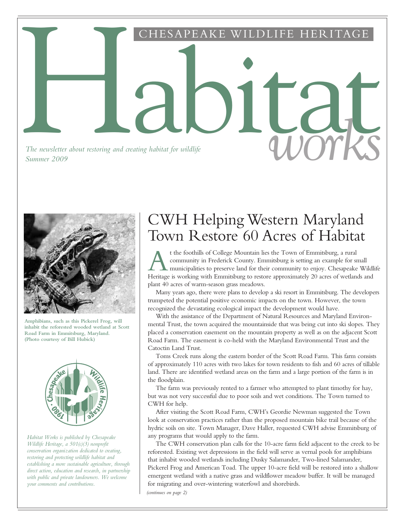Habitat HESAPEAKE WILDLIFE HERITAGE

*The newsletter about restoring and creating habitat for wildlife The newsletter about restoring and creating habitat for wildlife* and *COUTRS* 



**Amphibians, such as this Pickerel Frog, will inhabit the reforested wooded wetland at Scott Road Farm in Emmitsburg, Maryland. (Photo courtesy of Bill Hubick)**



*Habitat Works is published by Chesapeake Wildlife Heritage, a 501(c)(3) nonprofit conservation organization dedicated to creating, restoring and protecting wildlife habitat and establishing a more sustainable agriculture, through direct action, education and research, in partnership with public and private landowners. We welcome your comments and contributions.*

## CWH Helping Western Maryland Town Restore 60 Acres of Habitat

t the foothills of College Mountain lies the Town of Emmitsburg, a rural<br>community in Frederick County. Emmitsburg is setting an example for small<br>municipalities to preserve land for their community to enjoy. Chesapeake Wi t the foothills of College Mountain lies the Town of Emmitsburg, a rural community in Frederick County. Emmitsburg is setting an example for small **L** municipalities to preserve land for their community to enjoy. Chesapeake Wildlife plant 40 acres of warm-season grass meadows.

Many years ago, there were plans to develop a ski resort in Emmitsburg. The developers trumpeted the potential positive economic impacts on the town. However, the town recognized the devastating ecological impact the development would have.

With the assistance of the Department of Natural Resources and Maryland Environmental Trust, the town acquired the mountainside that was being cut into ski slopes. They placed a conservation easement on the mountain property as well as on the adjacent Scott Road Farm. The easement is co-held with the Maryland Environmental Trust and the Catoctin Land Trust.

Toms Creek runs along the eastern border of the Scott Road Farm. This farm consists of approximately 110 acres with two lakes for town residents to fish and 60 acres of tillable land. There are identified wetland areas on the farm and a large portion of the farm is in the floodplain.

The farm was previously rented to a farmer who attempted to plant timothy for hay, but was not very successful due to poor soils and wet conditions. The Town turned to CWH for help.

After visiting the Scott Road Farm, CWH's Geordie Newman suggested the Town look at conservation practices rather than the proposed mountain bike trail because of the hydric soils on site. Town Manager, Dave Haller, requested CWH advise Emmitsburg of any programs that would apply to the farm.

The CWH conservation plan calls for the 10-acre farm field adjacent to the creek to be reforested. Existing wet depressions in the field will serve as vernal pools for amphibians that inhabit wooded wetlands including Dusky Salamander, Two-lined Salamander, Pickerel Frog and American Toad. The upper 10-acre field will be restored into a shallow emergent wetland with a native grass and wildflower meadow buffer. It will be managed for migrating and over-wintering waterfowl and shorebirds.

*(continues on page 2)*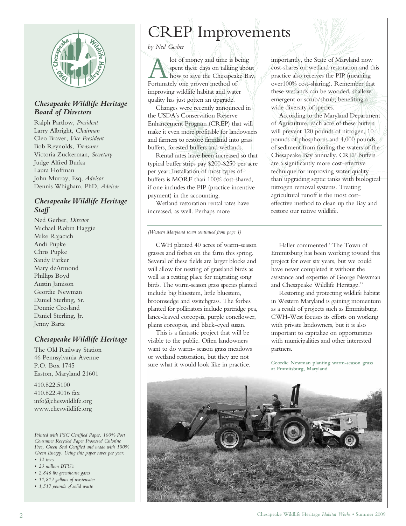

### *Chesapeake Wildlife Heritage Board of Directors*

Ralph Partlow, *President* Larry Albright, *Chairman* Cleo Braver, *Vice President*  Bob Reynolds, *Treasurer* Victoria Zuckerman, *Secretary* Judge Alfred Burka Laura Hoffman John Murray, Esq, *Advisor* Dennis Whigham, PhD, *Advisor*

### *Chesapeake Wildlife Heritage Staff*

Ned Gerber, *Director* Michael Robin Haggie Mike Rajacich Andi Pupke Chris Pupke Sandy Parker Mary deArmond Phillips Boyd Austin Jamison Geordie Newman Daniel Sterling, Sr. Donnie Crosland Daniel Sterling, Jr. Jenny Bartz

#### *Chesapeake Wildlife Heritage*

The Old Railway Station 46 Pennsylvania Avenue P.O. Box 1745 Easton, Maryland 21601

410.822.5100 410.822.4016 fax info@cheswildlife.org www.cheswildlife.org

*Printed with FSC Certified Paper, 100% Post Consumer Recycled Paper Processed Chlorine Free, Green Seal Certified and made with 100% Green Energy. Using this paper saves per year:*

- *32 trees*
- *23 million BTU's*
- *2,846 lbs greenhouse gases*
- *11,813 gallons of wastewater*
- *1,517 pounds of solid waste*

# CREP Improvements

*by Ned Gerber*

A lot of money and time is b<br>spent these days on talking<br>Fortunately one proven method of lot of money and time is being spent these days on talking about how to save the Chesapeake Bay. improving wildlife habitat and water quality has just gotten an upgrade.

Changes were recently announced in the USDA's Conservation Reserve Enhancement Program (CREP) that will make it even more profitable for landowners and farmers to restore farmland into grass buffers, forested buffers and wetlands.

Rental rates have been increased so that typical buffer strips pay \$200-\$250 per acre per year. Installation of most types of buffers is MORE than 100% cost-shared, if one includes the PIP (practice incentive payment) in the accounting.

Wetland restoration rental rates have increased, as well. Perhaps more

*(Western Maryland town continued from page 1)*

CWH planted 40 acres of warm-season grasses and forbes on the farm this spring. Several of these fields are larger blocks and will allow for nesting of grassland birds as well as a resting place for migrating song birds. The warm-season grass species planted include big bluestem, little bluestem, broomsedge and switchgrass. The forbes planted for pollinators include partridge pea, lance-leaved coreopsis, purple coneflower, plains coreopsis, and black-eyed susan.

This is a fantastic project that will be visible to the public. Often landowners want to do warm- season grass meadows or wetland restoration, but they are not sure what it would look like in practice.

importantly, the State of Maryland now cost-shares on wetland restoration and this practice also receives the PIP (meaning over100% cost-sharing). Remember that these wetlands can be wooded, shallow emergent or scrub/shrub; benefiting a wide diversity of species.

According to the Maryland Department of Agriculture, each acre of these buffers will prevent 120 pounds of nitrogen, 10 pounds of phosphorus and 4,000 pounds of sediment from fouling the waters of the Chesapeake Bay annually. CREP buffers are a significantly more cost-effective technique for improving water quality than upgrading septic tanks with biological nitrogen removal systems. Treating agricultural runoff is the most costeffective method to clean up the Bay and restore our native wildlife.

Haller commented "The Town of Emmitsburg has been working toward this project for over six years, but we could have never completed it without the assistance and expertise of George Newman and Chesapeake Wildlife Heritage."

Restoring and protecting wildlife habitat in Western Maryland is gaining momentum as a result of projects such as Emmitsburg. CWH-West focuses its efforts on working with private landowners, but it is also important to capitalize on opportunities with municipalities and other interested partners.

**Geordie Newman planting warm-season grass at Emmitsburg, Maryland**

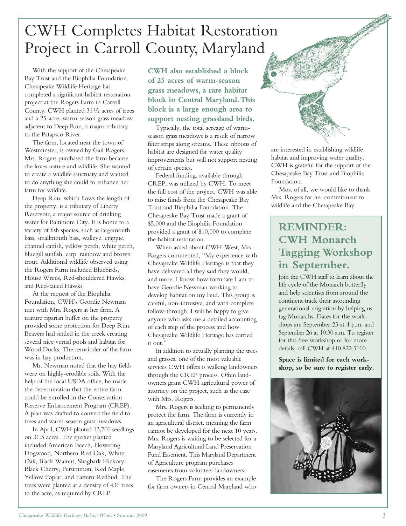# CWH Completes Habitat Restoration Project in Carroll County, Maryland

With the support of the Chesapeake Bay Trust and the Biophilia Foundation, Chesapeake Wildlife Heritage has completed a significant habitat restoration project at the Rogers Farm in Carroll County. CWH planted 31<sup>1</sup>/<sup>2</sup> acres of trees and a 25-acre, warm-season grass meadow adjacent to Deep Run, a major tributary to the Patapsco River.

The farm, located near the town of Westminster, is owned by Gail Rogers. Mrs. Rogers purchased the farm because she loves nature and wildlife. She wanted to create a wildlife sanctuary and wanted to do anything she could to enhance her farm for wildlife.

Deep Run, which flows the length of the property, is a tributary of Liberty Reservoir, a major source of drinking water for Baltimore City. It is home to a variety of fish species, such as largemouth bass, smallmouth bass, walleye, crappie, channel catfish, yellow perch, white perch, bluegill sunfish, carp, rainbow and brown trout. Additional wildlife observed using the Rogers Farm included Bluebirds, House Wrens, Red-shouldered Hawks, and Red-tailed Hawks.

At the request of the Biophilia Foundation, CWH's Geordie Newman met with Mrs. Rogers at her farm. A mature riparian buffer on the property provided some protection for Deep Run. Beavers had settled in the creek creating several nice vernal pools and habitat for Wood Ducks. The remainder of the farm was in hay production.

Mr. Newman noted that the hay fields were on highly-erodible soils. With the help of the local USDA office, he made the determination that the entire farm could be enrolled in the Conservation Reserve Enhancement Program (CREP). A plan was drafted to convert the field to trees and warm-season grass meadows.

In April, CWH planted 13,700 seedlings on 31.5 acres. The species planted included American Beech, Flowering Dogwood, Northern Red Oak, White Oak, Black Walnut, Shagbark Hickory, Black Cherry, Persimmon, Red Maple, Yellow Poplar, and Eastern Redbud. The trees were planted at a density of 436 trees to the acre, as required by CREP.

**CWH also established a block of 25 acres of warm-season grass meadows, a rare habitat block in Central Maryland.This block is a large enough area to support nesting grassland birds.**

Typically, the total acreage of warmseason grass meadows is a result of narrow filter strips along streams. These ribbons of habitat are designed for water quality improvements but will not support nesting of certain species.

Federal funding, available through CREP, was utilized by CWH. To meet the full cost of the project, CWH was able to raise funds from the Chesapeake Bay Trust and Biophilia Foundation. The Chesapeake Bay Trust made a grant of \$5,000 and the Biophilia Foundation provided a grant of \$10,000 to complete the habitat restoration.

When asked about CWH-West, Mrs. Rogers commented, "My experience with Chesapeake Wildlife Heritage is that they have delivered all they said they would, and more. I know how fortunate I am to have Geordie Newman working to develop habitat on my land. This group is careful, non-intrusive, and with complete follow-through. I will be happy to give anyone who asks me a detailed accounting of each step of the process and how Chesapeake Wildlife Heritage has carried it out."

In addition to actually planting the trees and grasses, one of the most valuable services CWH offers is walking landowners through the CREP process. Often landowners grant CWH agricultural power of attorney on the project, such as the case with Mrs. Rogers.

Mrs. Rogers is seeking to permanently protect the farm. The farm is currently in an agricultural district, meaning the farm cannot be developed for the next 10 years. Mrs. Rogers is waiting to be selected for a Maryland Agricultural Land Preservation Fund Easement. This Maryland Department of Agriculture program purchases easements from volunteer landowners.

The Rogers Farm provides an example for farm owners in Central Maryland who are interested in establishing wildlife habitat and improving water quality. CWH is grateful for the support of the Chesapeake Bay Trust and Biophilia Foundation.

Most of all, we would like to thank Mrs. Rogers for her commitment to wildlife and the Chesapeake Bay.

### **REMINDER: CWH Monarch Tagging Workshop in September.**

Join the CWH staff to learn about the life cycle of the Monarch butterfly and help scientists from around the continent track their astounding generational migration by helping us tag Monarchs. Dates for the workshops are September 23 at 4 p.m. and September 26 at 10:30 a.m. To register for this free workshop or for more details, call CWH at 410.822.5100.

**Space is limited for each workshop, so be sure to register early.**

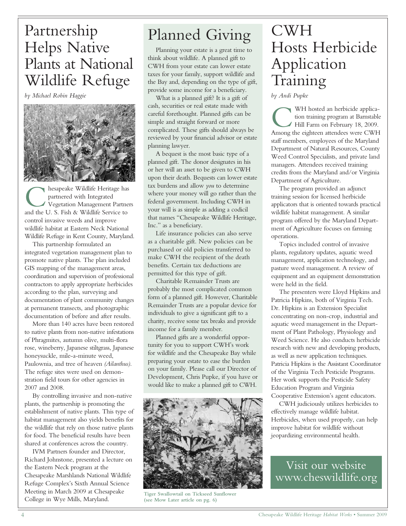# Partnership Helps Native Plants at National Wildlife Refuge

*by Michael Robin Haggie*



**C** hesapeake Wildlife Heritage has partnered with Integrated Vegetation Management Partne<br>and the U. S. Fish & Wildlife Service to hesapeake Wildlife Heritage has partnered with Integrated Vegetation Management Partners control invasive weeds and improve wildlife habitat at Eastern Neck National Wildlife Refuge in Kent County, Maryland.

This partnership formulated an integrated vegetation management plan to promote native plants. The plan included GIS mapping of the management areas, coordination and supervision of professional contractors to apply appropriate herbicides according to the plan, surveying and documentation of plant community changes at permanent transects, and photographic documentation of before and after results.

More than 140 acres have been restored to native plants from non-native infestations of Phragmites, autumn olive, multi-flora rose, wineberry, Japanese stiltgrass, Japanese honeysuckle, mile-a-minute weed, Paulownia, and tree of heaven *(Ailanthus)*. The refuge sites were used on demonstration field tours for other agencies in 2007 and 2008.

By controlling invasive and non-native plants, the partnership is promoting the establishment of native plants. This type of habitat management also yields benefits for the wildlife that rely on those native plants for food. The beneficial results have been shared at conferences across the country.

IVM Partners founder and Director, Richard Johnstone, presented a lecture on the Eastern Neck program at the Chesapeake Marshlands National Wildlife Refuge Complex's Sixth Annual Science Meeting in March 2009 at Chesapeake College in Wye Mills, Maryland.

# Planned Giving

Planning your estate is a great time to think about wildlife. A planned gift to CWH from your estate can lower estate taxes for your family, support wildlife and the Bay and, depending on the type of gift, provide some income for a beneficiary.

What is a planned gift? It is a gift of cash, securities or real estate made with careful forethought. Planned gifts can be simple and straight forward or more complicated. These gifts should always be reviewed by your financial advisor or estate planning lawyer.

A bequest is the most basic type of a planned gift. The donor designates in his or her will an asset to be given to CWH upon their death. Bequests can lower estate tax burdens and allow *you* to determine where your money will go rather than the federal government. Including CWH in your will is as simple as adding a codicil that names "Chesapeake Wildlife Heritage, Inc." as a beneficiary.

Life insurance policies can also serve as a charitable gift. New policies can be purchased or old policies transferred to make CWH the recipient of the death benefits. Certain tax deductions are permitted for this type of gift.

Charitable Remainder Trusts are probably the most complicated common form of a planned gift. However, Charitable Remainder Trusts are a popular device for individuals to give a significant gift to a charity, receive some tax breaks and provide income for a family member.

Planned gifts are a wonderful opportunity for you to support CWH's work for wildlife and the Chesapeake Bay while preparing your estate to ease the burden on your family. Please call our Director of Development, Chris Pupke, if you have or would like to make a planned gift to CWH.



**Tiger Swallowtail on Tickseed Sunflower (see Mow Later article on pg. 6)**

# CWH Hosts Herbicide Application Training

*by Andi Pupke*

WH hosted an herbicide application training program at Barnstable<br>Hill Farm on February 18, 2009.<br>Among the eighteen attendees were CWH WH hosted an herbicide application training program at Barnstable Hill Farm on February 18, 2009. staff members, employees of the Maryland Department of Natural Resources, County Weed Control Specialists, and private land managers. Attendees received training credits from the Maryland and/or Virginia Department of Agriculture.

The program provided an adjunct training session for licensed herbicide applicators that is oriented towards practical wildlife habitat management. A similar program offered by the Maryland Department of Agriculture focuses on farming operations.

Topics included control of invasive plants, regulatory updates, aquatic weed management, application technology, and pasture weed management. A review of equipment and an equipment demonstration were held in the field.

The presenters were Lloyd Hipkins and Patricia Hipkins, both of Virginia Tech. Dr. Hipkins is an Extension Specialist concentrating on non-crop, industrial and aquatic weed management in the Department of Plant Pathology, Physiology and Weed Science. He also conducts herbicide research with new and developing products, as well as new application techniques. Patricia Hipkins is the Assistant Coordinator of the Virginia Tech Pesticide Programs. Her work supports the Pesticide Safety Education Program and Virginia Cooperative Extension's agent educators.

CWH judiciously utilizes herbicides to effectively manage wildlife habitat. Herbicides, when used properly, can help improve habitat for wildlife without jeopardizing environmental health.

Visit our website www.cheswildlife.org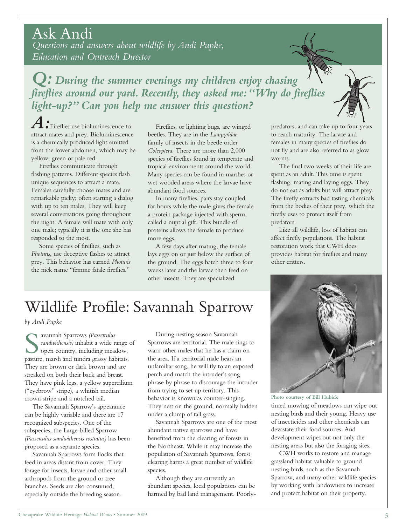Chesapeake Wildlife Heritage *Habitat Works* • Summer 2009 5

Ask Andi *Questions and answers about wildlife by Andi Pupke, Education and Outreach Director*

*Q: During the summer evenings my children enjoy chasing fireflies around our yard. Recently, they asked me:"Why do fireflies light-up?" Can you help me answer this question?*

*A:*Fireflies use bioluminescence to attract mates and prey. Bioluminescence is a chemically produced light emitted from the lower abdomen, which may be yellow, green or pale red.

Fireflies communicate through flashing patterns. Different species flash unique sequences to attract a mate. Females carefully choose mates and are remarkable picky; often starting a dialog with up to ten males. They will keep several conversations going throughout the night. A female will mate with only one male; typically it is the one she has responded to the most.

Some species of fireflies, such as *Photuris*, use deceptive flashes to attract prey. This behavior has earned *Photuris* the nick name "femme fatale fireflies."

Fireflies, or lighting bugs, are winged beetles. They are in the *Lampyridae* family of insects in the beetle order *Coleoptera*. There are more than 2,000 species of fireflies found in temperate and tropical environments around the world. Many species can be found in marshes or wet wooded areas where the larvae have abundant food sources.

In many fireflies, pairs stay coupled for hours while the male gives the female a protein package injected with sperm, called a nuptial gift. This bundle of proteins allows the female to produce more eggs.

A few days after mating, the female lays eggs on or just below the surface of the ground. The eggs hatch three to four weeks later and the larvae then feed on other insects. They are specialized

predators, and can take up to four years to reach maturity. The larvae and females in many species of fireflies do not fly and are also referred to as glow worms.

The final two weeks of their life are spent as an adult. This time is spent flashing, mating and laying eggs. They do not eat as adults but will attract prey. The firefly extracts bad tasting chemicals from the bodies of their prey, which the firefly uses to protect itself from predators.

Like all wildlife, loss of habitat can affect firefly populations. The habitat restoration work that CWH does provides habitat for fireflies and many other critters.

timed mowing of meadows can wipe out nesting birds and their young. Heavy use of insecticides and other chemicals can devastate their food sources. And development wipes out not only the nesting areas but also the foraging sites. **Photo courtesy of Bill Hubick**

CWH works to restore and manage grassland habitat valuable to ground nesting birds, such as the Savannah Sparrow, and many other wildlife species by working with landowners to increase and protect habitat on their property.

# Wildlife Profile: Savannah Sparrow

*by Andi Pupke* 

Sauranah Sparrows (Passerculus<br>
sandwichensis) inhabit a wide range<br>
open country, including meadow,<br>
pasture, marsh and tundra grassy habitats. avannah Sparrows *(Passerculus sandwichensis)* inhabit a wide range of open country, including meadow, They are brown or dark brown and are streaked on both their back and breast. They have pink legs, a yellow supercilium ("eyebrow" stripe), a whitish median crown stripe and a notched tail.

The Savannah Sparrow's appearance can be highly variable and there are 17 recognized subspecies. One of the subspecies, the Large-billed Sparrow *(Passerculus sandwichensis rostratus)* has been proposed as a separate species.

Savannah Sparrows form flocks that feed in areas distant from cover. They forage for insects, larvae and other small arthropods from the ground or tree branches. Seeds are also consumed, especially outside the breeding season.

During nesting season Savannah Sparrows are territorial. The male sings to warn other males that he has a claim on the area. If a territorial male hears an unfamiliar song, he will fly to an exposed perch and match the intruder's song phrase by phrase to discourage the intruder from trying to set up territory. This behavior is known as counter-singing. They nest on the ground, normally hidden under a clump of tall grass.

Savannah Sparrows are one of the most abundant native sparrows and have benefited from the clearing of forests in the Northeast. While it may increase the population of Savannah Sparrows, forest clearing harms a great number of wildlife species.

Although they are currently an abundant species, local populations can be harmed by bad land management. Poorly-



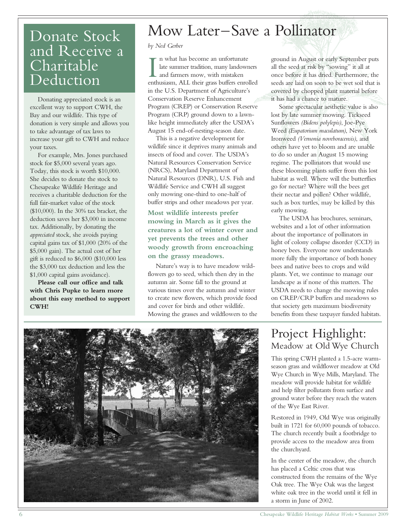## Donate Stock and Receive a Charitable Deduction

Donating appreciated stock is an excellent way to support CWH, the Bay and our wildlife. This type of donation is very simple and allows you to take advantage of tax laws to increase your gift to CWH and reduce your taxes.

For example, Mrs. Jones purchased stock for \$5,000 several years ago. Today, this stock is worth \$10,000. She decides to donate the stock to Chesapeake Wildlife Heritage and receives a charitable deduction for the full fair-market value of the stock (\$10,000). In the 30% tax bracket, the deduction saves her \$3,000 in income tax. Additionally, by donating the *appreciated* stock, she avoids paying capital gains tax of \$1,000 (20% of the \$5,000 gain). The actual cost of her gift is reduced to \$6,000 (\$10,000 less the \$3,000 tax deduction and less the \$1,000 capital gains avoidance).

**Please call our office and talk with Chris Pupke to learn more about this easy method to support CWH!**

# Mow Later–Save a Pollinator

#### *by Ned Gerber*

In what has become an unfortunate<br>late summer tradition, many landowners<br>and farmers mow, with mistaken<br>enthusiasm, ALL their grass buffers enrolled n what has become an unfortunate late summer tradition, many landowners and farmers mow, with mistaken in the U.S. Department of Agriculture's Conservation Reserve Enhancement Program (CREP) or Conservation Reserve Program (CRP) ground down to a lawnlike height immediately after the USDA's August 15 end-of-nesting-season date.

This is a negative development for wildlife since it deprives many animals and insects of food and cover. The USDA's Natural Resources Conservation Service (NRCS), Maryland Department of Natural Resources (DNR), U.S. Fish and Wildlife Service and CWH all suggest only mowing one-third to one-half of buffer strips and other meadows per year.

**Most wildlife interests prefer mowing in March as it gives the creatures a lot of winter cover and yet prevents the trees and other woody growth from encroaching on the grassy meadows.**

Nature's way is to have meadow wildflowers go to seed, which then dry in the autumn air. Some fall to the ground at various times over the autumn and winter to create new flowers, which provide food and cover for birds and other wildlife. Mowing the grasses and wildflowers to the ground in August or early September puts all the seed at risk by "sowing" it all at once before it has dried. Furthermore, the seeds are laid on soon to be wet soil that is covered by chopped plant material before it has had a chance to mature.

Some spectacular aesthetic value is also lost by late summer mowing. Tickseed Sunflowers *(Bidens polylepis)*, Joe-Pye Weed *(Eupatorium maculatum)*, New York Ironweed *(Vernonia noveboracensis)*, and others have yet to bloom and are unable to do so under an August 15 mowing regime. The pollinators that would use these blooming plants suffer from this lost habitat as well. Where will the butterflies go for nectar? Where will the bees get their nectar and pollen? Other wildlife, such as box turtles, may be killed by this early mowing.

The USDA has brochures, seminars, websites and a lot of other information about the importance of pollinators in light of colony collapse disorder (CCD) in honey bees. Everyone now understands more fully the importance of both honey bees and native bees to crops and wild plants. Yet, we continue to manage our landscape as if none of this matters. The USDA needs to change the mowing rules on CREP/CRP buffers and meadows so that society gets maximum biodiversity benefits from these taxpayer funded habitats.

### Project Highlight: Meadow at Old Wye Church

This spring CWH planted a 1.5-acre warmseason grass and wildflower meadow at Old Wye Church in Wye Mills, Maryland. The meadow will provide habitat for wildlife and help filter pollutants from surface and ground water before they reach the waters of the Wye East River.

Restored in 1949, Old Wye was originally built in 1721 for 60,000 pounds of tobacco. The church recently built a footbridge to provide access to the meadow area from the churchyard.

In the center of the meadow, the church has placed a Celtic cross that was constructed from the remains of the Wye Oak tree. The Wye Oak was the largest white oak tree in the world until it fell in a storm in June of 2002.

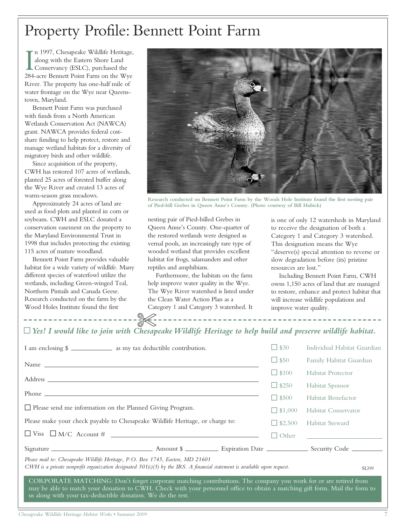# Property Profile: Bennett Point Farm

In 1997, Chesapeake Wildlife Heritage<br>along with the Eastern Shore Land<br>Conservancy (ESLC), purchased the<br>284-acre Bennett Point Farm on the Wye n 1997, Chesapeake Wildlife Heritage, along with the Eastern Shore Land **L** Conservancy (ESLC), purchased the River. The property has one-half mile of water frontage on the Wye near Queenstown, Maryland.

Bennett Point Farm was purchased with funds from a North American Wetlands Conservation Act (NAWCA) grant. NAWCA provides federal costshare funding to help protect, restore and manage wetland habitats for a diversity of migratory birds and other wildlife.

Since acquisition of the property, CWH has restored 107 acres of wetlands, planted 25 acres of forested buffer along the Wye River and created 13 acres of warm-season grass meadows.

Approximately 24 acres of land are used as food plots and planted in corn or soybeans. CWH and ESLC donated a conservation easement on the property to the Maryland Environmental Trust in 1998 that includes protecting the existing 115 acres of mature woodland.

Bennett Point Farm provides valuable habitat for a wide variety of wildlife. Many different species of waterfowl utilize the wetlands, including Green-winged Teal, Northern Pintails and Canada Geese. Research conducted on the farm by the Wood Holes Institute found the first

-----------------



**Research conducted on Bennett Point Farm by the Woods Hole Institute found the first nesting pair of Pied-bill Grebes in Queen Anne's County. (Photo courtesy of Bill Hubick)**

nesting pair of Pied-billed Grebes in Queen Anne's County. One-quarter of the restored wetlands were designed as vernal pools, an increasingly rare type of wooded wetland that provides excellent habitat for frogs, salamanders and other reptiles and amphibians.

Furthermore, the habitats on the farm help improve water quality in the Wye. The Wye River watershed is listed under the Clean Water Action Plan as a Category 1 and Category 3 watershed. It

is one of only 12 watersheds in Maryland to receive the designation of both a Category 1 and Category 3 watershed. This designation means the Wye "deserve(s) special attention to reverse or slow degradation before (its) pristine resources are lost."

Including Bennett Point Farm, CWH owns 1,150 acres of land that are managed to restore, enhance and protect habitat that will increase wildlife populations and improve water quality.

### ~*Yes! I would like to join with Chesapeake Wildlife Heritage to help build and preserve wildlife habitat.* **-X-**

| I am enclosing \$                                                                                                                                                                                                                                                                                              | $\Box$ \$30    | Individual Habitat Guardian                                         |
|----------------------------------------------------------------------------------------------------------------------------------------------------------------------------------------------------------------------------------------------------------------------------------------------------------------|----------------|---------------------------------------------------------------------|
| Name experience and the set of the set of the set of the set of the set of the set of the set of the set of the set of the set of the set of the set of the set of the set of the set of the set of the set of the set of the                                                                                  | $\Box$ \$50    | Family Habitat Guardian                                             |
|                                                                                                                                                                                                                                                                                                                | $\Box$ \$100   | <b>Habitat Protector</b>                                            |
|                                                                                                                                                                                                                                                                                                                | $\Box$ \$250   | Habitat Sponsor                                                     |
|                                                                                                                                                                                                                                                                                                                | $\Box$ \$500   | Habitat Benefactor                                                  |
| $\Box$ Please send me information on the Planned Giving Program.                                                                                                                                                                                                                                               | $\Box$ \$1,000 | Habitat Conservator                                                 |
| Please make your check payable to Chesapeake Wildlife Heritage, or charge to:                                                                                                                                                                                                                                  | $\Box$ \$2,500 | <b>Habitat Steward</b>                                              |
|                                                                                                                                                                                                                                                                                                                | $\Box$ Other   | <u> 1989 - Johann Stein, mars an deus Amerikaansk kommunister (</u> |
|                                                                                                                                                                                                                                                                                                                |                |                                                                     |
| Please mail to: Chesapeake Wildlife Heritage, P.O. Box 1745, Easton, MD 21601<br>CWH is a private nonprofit organization designated 501(c)(3) by the IRS. A financial statement is available upon request.<br><b>SU09</b>                                                                                      |                |                                                                     |
| CORPORATE MATCHING: Don't forget corporate matching contributions. The company you work for or are retired from<br>may be able to match your donation to CWH. Check with your personnel office to obtain a matching gift form. Mail the form to<br>us along with your tax-deductible donation. We do the rest. |                |                                                                     |